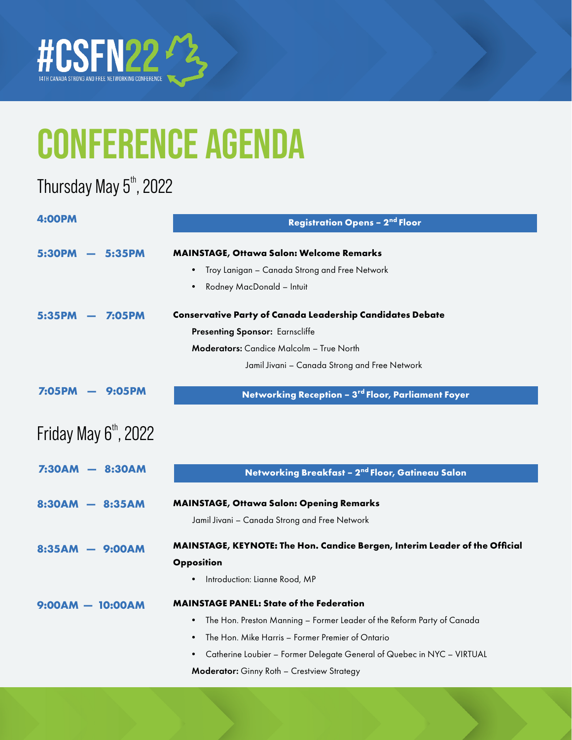

#### Thursday May  $5^{\text{th}}$ , 2022

| 4:00PM                         | <b>Registration Opens - 2nd Floor</b>                                               |  |
|--------------------------------|-------------------------------------------------------------------------------------|--|
|                                |                                                                                     |  |
| 5:35PM<br>5:30PM               | MAINSTAGE, Ottawa Salon: Welcome Remarks                                            |  |
|                                | Troy Lanigan - Canada Strong and Free Network<br>٠                                  |  |
|                                | Rodney MacDonald - Intuit<br>$\bullet$                                              |  |
| <b>7:05PM</b>                  | <b>Conservative Party of Canada Leadership Candidates Debate</b>                    |  |
|                                | Presenting Sponsor: Earnscliffe                                                     |  |
|                                | <b>Moderators:</b> Candice Malcolm – True North                                     |  |
|                                | Jamil Jivani - Canada Strong and Free Network                                       |  |
| <b>7:05PM</b><br><b>9:05PM</b> | Networking Reception - 3rd Floor, Parliament Foyer                                  |  |
|                                |                                                                                     |  |
| Friday May $6th$ , 2022        |                                                                                     |  |
|                                |                                                                                     |  |
| <b>7:30AM</b><br>8:30AM        | Networking Breakfast - 2 <sup>nd</sup> Floor, Gatineau Salon                        |  |
| <b>8:30AM</b><br>$-8:35AM$     | <b>MAINSTAGE, Ottawa Salon: Opening Remarks</b>                                     |  |
|                                | Jamil Jivani - Canada Strong and Free Network                                       |  |
| — 9:00АМ<br>8:35AM             | MAINSTAGE, KEYNOTE: The Hon. Candice Bergen, Interim Leader of the Official         |  |
|                                | Opposition                                                                          |  |
|                                | Introduction: Lianne Rood, MP                                                       |  |
| $9:00AM - 10:00AM$             | <b>MAINSTAGE PANEL: State of the Federation</b>                                     |  |
|                                | The Hon. Preston Manning - Former Leader of the Reform Party of Canada<br>$\bullet$ |  |
|                                | The Hon. Mike Harris – Former Premier of Ontario<br>$\bullet$                       |  |
|                                | Catherine Loubier - Former Delegate General of Quebec in NYC - VIRTUAL<br>$\bullet$ |  |
|                                | Moderator: Ginny Roth - Crestview Strategy                                          |  |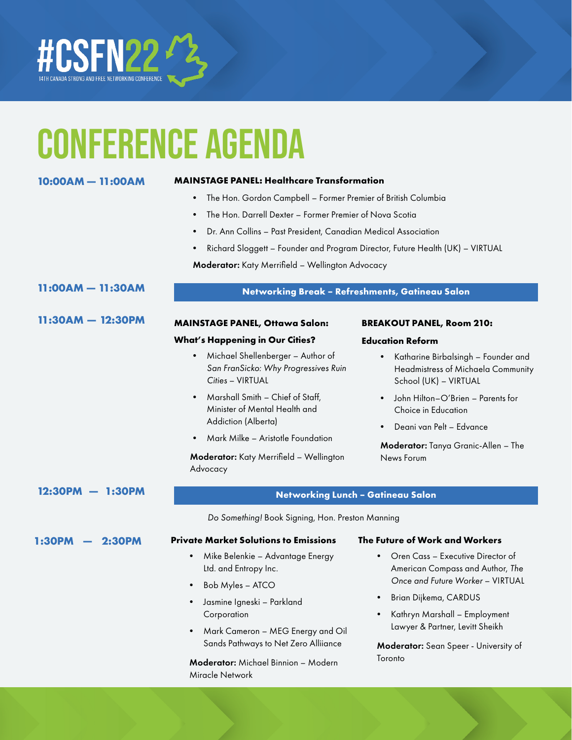

| 10:00AM - 11:00AM        | <b>MAINSTAGE PANEL: Healthcare Transformation</b>                                             |                                                                                                                 |  |
|--------------------------|-----------------------------------------------------------------------------------------------|-----------------------------------------------------------------------------------------------------------------|--|
|                          | The Hon. Gordon Campbell - Former Premier of British Columbia                                 |                                                                                                                 |  |
|                          | The Hon. Darrell Dexter - Former Premier of Nova Scotia                                       |                                                                                                                 |  |
|                          | Dr. Ann Collins - Past President, Canadian Medical Association                                |                                                                                                                 |  |
|                          | Richard Sloggett - Founder and Program Director, Future Health (UK) - VIRTUAL                 |                                                                                                                 |  |
|                          | Moderator: Katy Merrifield - Wellington Advocacy                                              |                                                                                                                 |  |
| $11:00AM - 11:30AM$      |                                                                                               | Networking Break - Refreshments, Gatineau Salon                                                                 |  |
| $11:30AM - 12:30PM$      | <b>MAINSTAGE PANEL, Ottawa Salon:</b>                                                         | <b>BREAKOUT PANEL, Room 210:</b>                                                                                |  |
|                          | <b>What's Happening in Our Cities?</b>                                                        | <b>Education Reform</b>                                                                                         |  |
|                          | Michael Shellenberger - Author of<br>San FranSicko: Why Progressives Ruin<br>Cities - VIRTUAL | Katharine Birbalsingh - Founder and<br>$\bullet$<br>Headmistress of Michaela Community<br>School (UK) - VIRTUAL |  |
|                          | Marshall Smith - Chief of Staff,<br>Minister of Mental Health and                             | John Hilton-O'Brien - Parents for<br>Choice in Education                                                        |  |
|                          | Addiction (Alberta)                                                                           | Deani van Pelt - Edvance                                                                                        |  |
|                          | Mark Milke - Aristotle Foundation                                                             | Moderator: Tanya Granic-Allen - The                                                                             |  |
|                          | Moderator: Katy Merrifield - Wellington<br>Advocacy                                           | News Forum                                                                                                      |  |
| 12:30PM<br><b>1:30PM</b> |                                                                                               | <b>Networking Lunch - Gatineau Salon</b>                                                                        |  |
|                          | Do Something! Book Signing, Hon. Preston Manning                                              |                                                                                                                 |  |
| <b>2:30PM</b><br>1:30PM  | <b>Private Market Solutions to Emissions</b>                                                  | The Future of Work and Workers                                                                                  |  |
|                          | Mike Belenkie - Advantage Energy<br>$\bullet$<br>Ltd. and Entropy Inc.                        | Oren Cass - Executive Director of<br>$\bullet$<br>American Compass and Author, The                              |  |
|                          | Bob Myles - ATCO<br>$\bullet$                                                                 | Once and Future Worker - VIRTUAL                                                                                |  |
|                          | Jasmine Igneski - Parkland<br>$\bullet$                                                       | Brian Dijkema, CARDUS<br>$\bullet$                                                                              |  |

Corporation

Miracle Network

• Mark Cameron – MEG Energy and Oil Sands Pathways to Net Zero Alliiance

Moderator: Michael Binnion – Modern

• Kathryn Marshall – Employment Lawyer & Partner, Levitt Sheikh

Moderator: Sean Speer - University of Toronto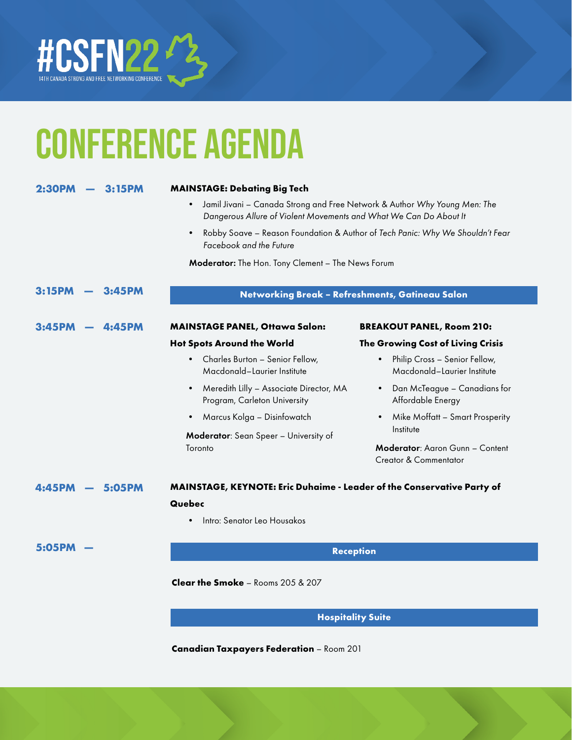

| 2:30PM<br>3:15PM |                                                                                                                                                             |           | <b>MAINSTAGE: Debating Big Tech</b>                                         |                                                                               |
|------------------|-------------------------------------------------------------------------------------------------------------------------------------------------------------|-----------|-----------------------------------------------------------------------------|-------------------------------------------------------------------------------|
|                  | Jamil Jivani - Canada Strong and Free Network & Author Why Young Men: The<br>$\bullet$<br>Dangerous Allure of Violent Movements and What We Can Do About It |           |                                                                             |                                                                               |
|                  |                                                                                                                                                             |           | $\bullet$<br>Facebook and the Future                                        | Robby Soave - Reason Foundation & Author of Tech Panic: Why We Shouldn't Fear |
|                  |                                                                                                                                                             |           | Moderator: The Hon. Tony Clement - The News Forum                           |                                                                               |
| 3:15PM           |                                                                                                                                                             | 3:45PM    | Networking Break - Refreshments, Gatineau Salon                             |                                                                               |
| 3:45PM           |                                                                                                                                                             | 4:45PM    | <b>MAINSTAGE PANEL, Ottawa Salon:</b>                                       | <b>BREAKOUT PANEL, Room 210:</b>                                              |
|                  |                                                                                                                                                             |           | <b>Hot Spots Around the World</b>                                           | The Growing Cost of Living Crisis                                             |
|                  |                                                                                                                                                             |           | Charles Burton - Senior Fellow,<br>$\bullet$<br>Macdonald-Laurier Institute | Philip Cross - Senior Fellow,<br>$\bullet$<br>Macdonald-Laurier Institute     |
|                  |                                                                                                                                                             |           | Meredith Lilly - Associate Director, MA<br>Program, Carleton University     | Dan McTeague – Canadians for<br>Affordable Energy                             |
|                  |                                                                                                                                                             |           | Marcus Kolga - Disinfowatch<br>$\bullet$                                    | Mike Moffatt – Smart Prosperity<br>$\bullet$                                  |
|                  | Moderator: Sean Speer - University of                                                                                                                       | Institute |                                                                             |                                                                               |
|                  |                                                                                                                                                             |           | Toronto                                                                     | Moderator: Aaron Gunn - Content<br><b>Creator &amp; Commentator</b>           |
| 5:05PM           |                                                                                                                                                             |           | MAINSTAGE, KEYNOTE: Eric Duhaime - Leader of the Conservative Party of      |                                                                               |
|                  |                                                                                                                                                             |           | Quebec                                                                      |                                                                               |
|                  |                                                                                                                                                             |           | Intro: Senator Leo Housakos                                                 |                                                                               |
| 5:05PM           |                                                                                                                                                             |           |                                                                             | <b>Reception</b>                                                              |
|                  |                                                                                                                                                             |           | Clear the Smoke - Rooms 205 & 207                                           |                                                                               |
|                  |                                                                                                                                                             |           |                                                                             | <b>Hospitality Suite</b>                                                      |

**Canadian Taxpayers Federation** – Room 201